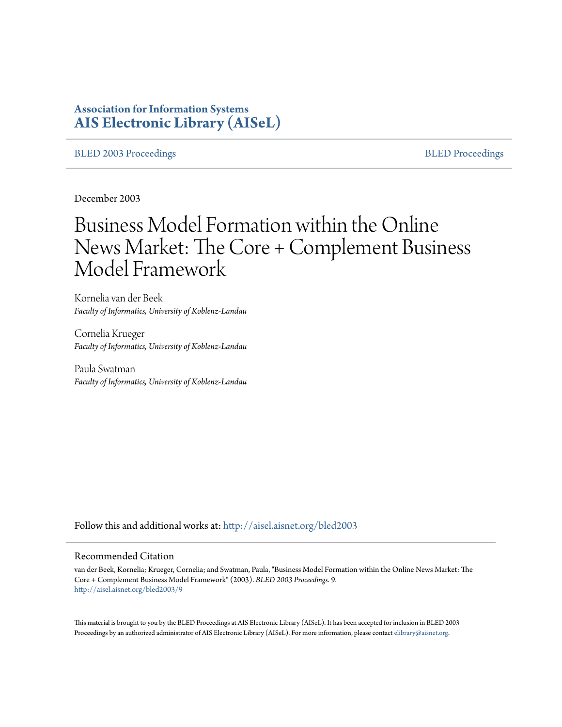# **Association for Information Systems [AIS Electronic Library \(AISeL\)](http://aisel.aisnet.org?utm_source=aisel.aisnet.org%2Fbled2003%2F9&utm_medium=PDF&utm_campaign=PDFCoverPages)**

## [BLED 2003 Proceedings](http://aisel.aisnet.org/bled2003?utm_source=aisel.aisnet.org%2Fbled2003%2F9&utm_medium=PDF&utm_campaign=PDFCoverPages) and the state of the state of the [BLED Proceedings](http://aisel.aisnet.org/bled?utm_source=aisel.aisnet.org%2Fbled2003%2F9&utm_medium=PDF&utm_campaign=PDFCoverPages) and the BLED Proceedings and the BLED Proceedings and the BLED Proceedings and the BLED Proceedings and the BLED Proceedings and the BLED Proceedings

December 2003

# Business Model Formation within the Online News Market: The Core + Complement Business Model Framework

Kornelia van der Beek *Faculty of Informatics, University of Koblenz-Landau*

Cornelia Krueger *Faculty of Informatics, University of Koblenz-Landau*

Paula Swatman *Faculty of Informatics, University of Koblenz-Landau*

Follow this and additional works at: [http://aisel.aisnet.org/bled2003](http://aisel.aisnet.org/bled2003?utm_source=aisel.aisnet.org%2Fbled2003%2F9&utm_medium=PDF&utm_campaign=PDFCoverPages)

#### Recommended Citation

van der Beek, Kornelia; Krueger, Cornelia; and Swatman, Paula, "Business Model Formation within the Online News Market: The Core + Complement Business Model Framework" (2003). *BLED 2003 Proceedings*. 9. [http://aisel.aisnet.org/bled2003/9](http://aisel.aisnet.org/bled2003/9?utm_source=aisel.aisnet.org%2Fbled2003%2F9&utm_medium=PDF&utm_campaign=PDFCoverPages)

This material is brought to you by the BLED Proceedings at AIS Electronic Library (AISeL). It has been accepted for inclusion in BLED 2003 Proceedings by an authorized administrator of AIS Electronic Library (AISeL). For more information, please contact [elibrary@aisnet.org](mailto:elibrary@aisnet.org%3E).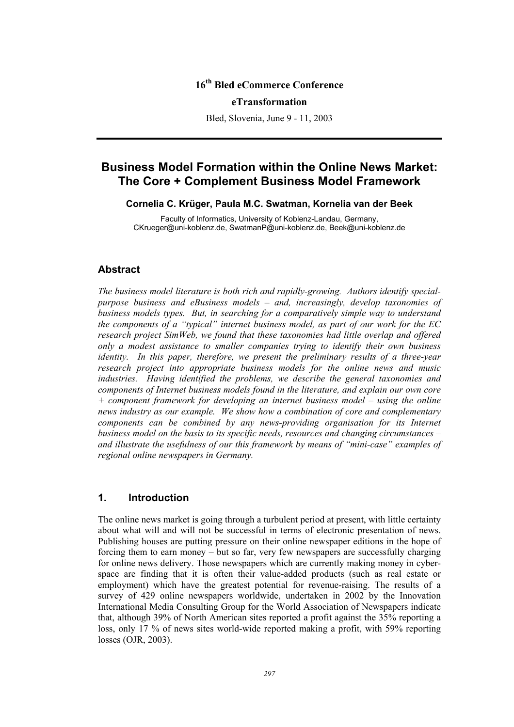# **16th Bled eCommerce Conference**

#### **eTransformation**

Bled, Slovenia, June 9 - 11, 2003

# **Business Model Formation within the Online News Market: The Core + Complement Business Model Framework**

## **Cornelia C. Krüger, Paula M.C. Swatman, Kornelia van der Beek**

Faculty of Informatics, University of Koblenz-Landau, Germany, CKrueger@uni-koblenz.de, SwatmanP@uni-koblenz.de, Beek@uni-koblenz.de

# **Abstract**

*The business model literature is both rich and rapidly-growing. Authors identify specialpurpose business and eBusiness models – and, increasingly, develop taxonomies of business models types. But, in searching for a comparatively simple way to understand the components of a "typical" internet business model, as part of our work for the EC research project SimWeb, we found that these taxonomies had little overlap and offered only a modest assistance to smaller companies trying to identify their own business identity. In this paper, therefore, we present the preliminary results of a three-year research project into appropriate business models for the online news and music industries. Having identified the problems, we describe the general taxonomies and components of Internet business models found in the literature, and explain our own core + component framework for developing an internet business model – using the online news industry as our example. We show how a combination of core and complementary components can be combined by any news-providing organisation for its Internet business model on the basis to its specific needs, resources and changing circumstances – and illustrate the usefulness of our this framework by means of "mini-case" examples of regional online newspapers in Germany.* 

## **1. Introduction**

The online news market is going through a turbulent period at present, with little certainty about what will and will not be successful in terms of electronic presentation of news. Publishing houses are putting pressure on their online newspaper editions in the hope of forcing them to earn money – but so far, very few newspapers are successfully charging for online news delivery. Those newspapers which are currently making money in cyberspace are finding that it is often their value-added products (such as real estate or employment) which have the greatest potential for revenue-raising. The results of a survey of 429 online newspapers worldwide, undertaken in 2002 by the Innovation International Media Consulting Group for the World Association of Newspapers indicate that, although 39% of North American sites reported a profit against the 35% reporting a loss, only 17 % of news sites world-wide reported making a profit, with 59% reporting losses (OJR, 2003).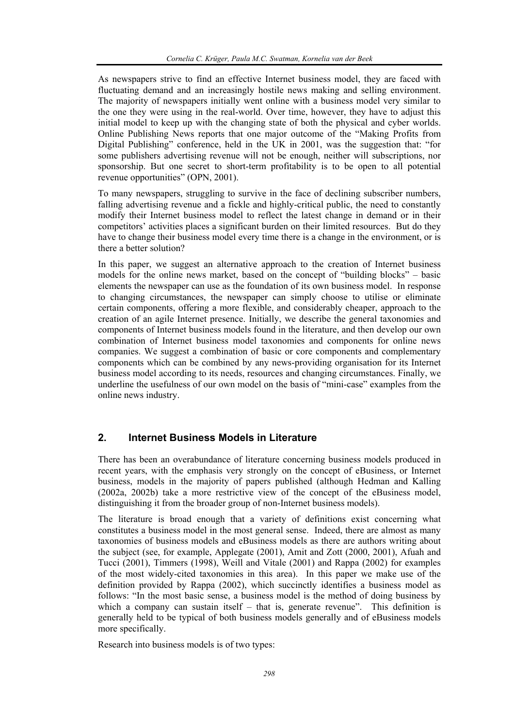As newspapers strive to find an effective Internet business model, they are faced with fluctuating demand and an increasingly hostile news making and selling environment. The majority of newspapers initially went online with a business model very similar to the one they were using in the real-world. Over time, however, they have to adjust this initial model to keep up with the changing state of both the physical and cyber worlds. Online Publishing News reports that one major outcome of the "Making Profits from Digital Publishing" conference, held in the UK in 2001, was the suggestion that: "for some publishers advertising revenue will not be enough, neither will subscriptions, nor sponsorship. But one secret to short-term profitability is to be open to all potential revenue opportunities" (OPN, 2001).

To many newspapers, struggling to survive in the face of declining subscriber numbers, falling advertising revenue and a fickle and highly-critical public, the need to constantly modify their Internet business model to reflect the latest change in demand or in their competitors' activities places a significant burden on their limited resources. But do they have to change their business model every time there is a change in the environment, or is there a better solution?

In this paper, we suggest an alternative approach to the creation of Internet business models for the online news market, based on the concept of "building blocks" – basic elements the newspaper can use as the foundation of its own business model. In response to changing circumstances, the newspaper can simply choose to utilise or eliminate certain components, offering a more flexible, and considerably cheaper, approach to the creation of an agile Internet presence. Initially, we describe the general taxonomies and components of Internet business models found in the literature, and then develop our own combination of Internet business model taxonomies and components for online news companies. We suggest a combination of basic or core components and complementary components which can be combined by any news-providing organisation for its Internet business model according to its needs, resources and changing circumstances. Finally, we underline the usefulness of our own model on the basis of "mini-case" examples from the online news industry.

# **2. Internet Business Models in Literature**

There has been an overabundance of literature concerning business models produced in recent years, with the emphasis very strongly on the concept of eBusiness, or Internet business, models in the majority of papers published (although Hedman and Kalling (2002a, 2002b) take a more restrictive view of the concept of the eBusiness model, distinguishing it from the broader group of non-Internet business models).

The literature is broad enough that a variety of definitions exist concerning what constitutes a business model in the most general sense. Indeed, there are almost as many taxonomies of business models and eBusiness models as there are authors writing about the subject (see, for example, Applegate (2001), Amit and Zott (2000, 2001), Afuah and Tucci (2001), Timmers (1998), Weill and Vitale (2001) and Rappa (2002) for examples of the most widely-cited taxonomies in this area). In this paper we make use of the definition provided by Rappa (2002), which succinctly identifies a business model as follows: "In the most basic sense, a business model is the method of doing business by which a company can sustain itself – that is, generate revenue". This definition is generally held to be typical of both business models generally and of eBusiness models more specifically.

Research into business models is of two types: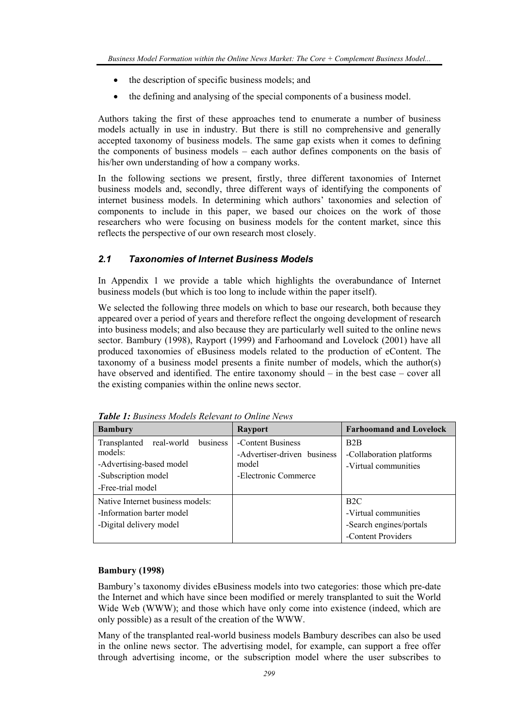- the description of specific business models; and
- the defining and analysing of the special components of a business model.

Authors taking the first of these approaches tend to enumerate a number of business models actually in use in industry. But there is still no comprehensive and generally accepted taxonomy of business models. The same gap exists when it comes to defining the components of business models – each author defines components on the basis of his/her own understanding of how a company works.

In the following sections we present, firstly, three different taxonomies of Internet business models and, secondly, three different ways of identifying the components of internet business models. In determining which authors' taxonomies and selection of components to include in this paper, we based our choices on the work of those researchers who were focusing on business models for the content market, since this reflects the perspective of our own research most closely.

# *2.1 Taxonomies of Internet Business Models*

In Appendix 1 we provide a table which highlights the overabundance of Internet business models (but which is too long to include within the paper itself).

We selected the following three models on which to base our research, both because they appeared over a period of years and therefore reflect the ongoing development of research into business models; and also because they are particularly well suited to the online news sector. Bambury (1998), Rayport (1999) and Farhoomand and Lovelock (2001) have all produced taxonomies of eBusiness models related to the production of eContent. The taxonomy of a business model presents a finite number of models, which the author(s) have observed and identified. The entire taxonomy should – in the best case – cover all the existing companies within the online news sector.

| <b>Bambury</b>                                                                                                            | <b>Rayport</b>                                                                    | <b>Farhoomand and Lovelock</b>                                               |
|---------------------------------------------------------------------------------------------------------------------------|-----------------------------------------------------------------------------------|------------------------------------------------------------------------------|
| real-world<br>business<br>Transplanted<br>models:<br>-Advertising-based model<br>-Subscription model<br>-Free-trial model | -Content Business<br>-Advertiser-driven business<br>model<br>-Electronic Commerce | B <sub>2</sub> B<br>-Collaboration platforms<br>-Virtual communities         |
| Native Internet business models:<br>-Information barter model<br>-Digital delivery model                                  |                                                                                   | B2C<br>-Virtual communities<br>-Search engines/portals<br>-Content Providers |

*Table 1: Business Models Relevant to Online News* 

#### **Bambury (1998)**

Bambury's taxonomy divides eBusiness models into two categories: those which pre-date the Internet and which have since been modified or merely transplanted to suit the World Wide Web (WWW); and those which have only come into existence (indeed, which are only possible) as a result of the creation of the WWW.

Many of the transplanted real-world business models Bambury describes can also be used in the online news sector. The advertising model, for example, can support a free offer through advertising income, or the subscription model where the user subscribes to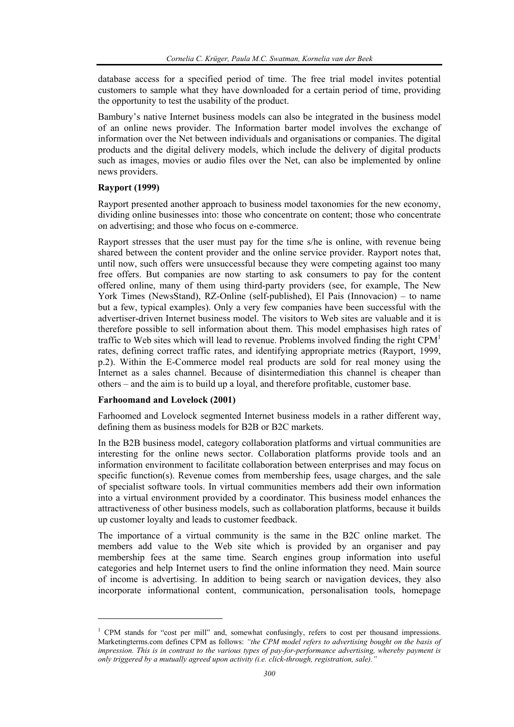database access for a specified period of time. The free trial model invites potential customers to sample what they have downloaded for a certain period of time, providing the opportunity to test the usability of the product.

Bambury's native Internet business models can also be integrated in the business model of an online news provider. The Information barter model involves the exchange of information over the Net between individuals and organisations or companies. The digital products and the digital delivery models, which include the delivery of digital products such as images, movies or audio files over the Net, can also be implemented by online news providers.

#### **Rayport (1999)**

Rayport presented another approach to business model taxonomies for the new economy, dividing online businesses into: those who concentrate on content; those who concentrate on advertising; and those who focus on e-commerce.

Rayport stresses that the user must pay for the time s/he is online, with revenue being shared between the content provider and the online service provider. Rayport notes that, until now, such offers were unsuccessful because they were competing against too many free offers. But companies are now starting to ask consumers to pay for the content offered online, many of them using third-party providers (see, for example, The New York Times (NewsStand), RZ-Online (self-published), El Pais (Innovacion) – to name but a few, typical examples). Only a very few companies have been successful with the advertiser-driven Internet business model. The visitors to Web sites are valuable and it is therefore possible to sell information about them. This model emphasises high rates of traffic to Web sites which will lead to revenue. Problems involved finding the right  $CPM<sup>1</sup>$ rates, defining correct traffic rates, and identifying appropriate metrics (Rayport, 1999, p.2). Within the E-Commerce model real products are sold for real money using the Internet as a sales channel. Because of disintermediation this channel is cheaper than others – and the aim is to build up a loyal, and therefore profitable, customer base.

#### **Farhoomand and Lovelock (2001)**

l

Farhoomed and Lovelock segmented Internet business models in a rather different way, defining them as business models for B2B or B2C markets.

In the B2B business model, category collaboration platforms and virtual communities are interesting for the online news sector. Collaboration platforms provide tools and an information environment to facilitate collaboration between enterprises and may focus on specific function(s). Revenue comes from membership fees, usage charges, and the sale of specialist software tools. In virtual communities members add their own information into a virtual environment provided by a coordinator. This business model enhances the attractiveness of other business models, such as collaboration platforms, because it builds up customer loyalty and leads to customer feedback.

The importance of a virtual community is the same in the B2C online market. The members add value to the Web site which is provided by an organiser and pay membership fees at the same time. Search engines group information into useful categories and help Internet users to find the online information they need. Main source of income is advertising. In addition to being search or navigation devices, they also incorporate informational content, communication, personalisation tools, homepage

<sup>&</sup>lt;sup>1</sup> CPM stands for "cost per mill" and, somewhat confusingly, refers to cost per thousand impressions. Marketingterms.com defines CPM as follows: *"the CPM model refers to advertising bought on the basis of impression. This is in contrast to the various types of pay-for-performance advertising, whereby payment is only triggered by a mutually agreed upon activity (i.e. click-through, registration, sale)."*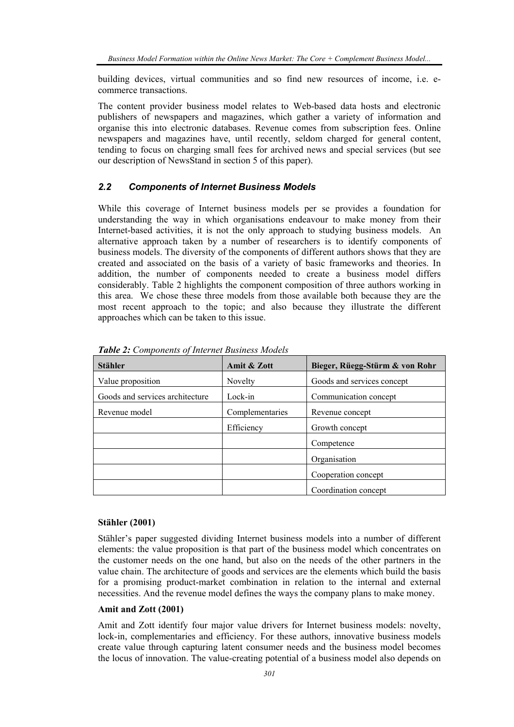building devices, virtual communities and so find new resources of income, i.e. ecommerce transactions.

The content provider business model relates to Web-based data hosts and electronic publishers of newspapers and magazines, which gather a variety of information and organise this into electronic databases. Revenue comes from subscription fees. Online newspapers and magazines have, until recently, seldom charged for general content, tending to focus on charging small fees for archived news and special services (but see our description of NewsStand in section 5 of this paper).

# *2.2 Components of Internet Business Models*

While this coverage of Internet business models per se provides a foundation for understanding the way in which organisations endeavour to make money from their Internet-based activities, it is not the only approach to studying business models. An alternative approach taken by a number of researchers is to identify components of business models. The diversity of the components of different authors shows that they are created and associated on the basis of a variety of basic frameworks and theories. In addition, the number of components needed to create a business model differs considerably. Table 2 highlights the component composition of three authors working in this area. We chose these three models from those available both because they are the most recent approach to the topic; and also because they illustrate the different approaches which can be taken to this issue.

| <b>Stähler</b>                  | Amit & Zott     | Bieger, Rüegg-Stürm & von Rohr |
|---------------------------------|-----------------|--------------------------------|
| Value proposition               | Novelty         | Goods and services concept     |
| Goods and services architecture | Lock-in         | Communication concept          |
| Revenue model                   | Complementaries | Revenue concept                |
|                                 | Efficiency      | Growth concept                 |
|                                 |                 | Competence                     |
|                                 |                 | Organisation                   |
|                                 |                 | Cooperation concept            |
|                                 |                 | Coordination concept           |

*Table 2: Components of Internet Business Models* 

#### **Stähler (2001)**

Stähler's paper suggested dividing Internet business models into a number of different elements: the value proposition is that part of the business model which concentrates on the customer needs on the one hand, but also on the needs of the other partners in the value chain. The architecture of goods and services are the elements which build the basis for a promising product-market combination in relation to the internal and external necessities. And the revenue model defines the ways the company plans to make money.

## **Amit and Zott (2001)**

Amit and Zott identify four major value drivers for Internet business models: novelty, lock-in, complementaries and efficiency. For these authors, innovative business models create value through capturing latent consumer needs and the business model becomes the locus of innovation. The value-creating potential of a business model also depends on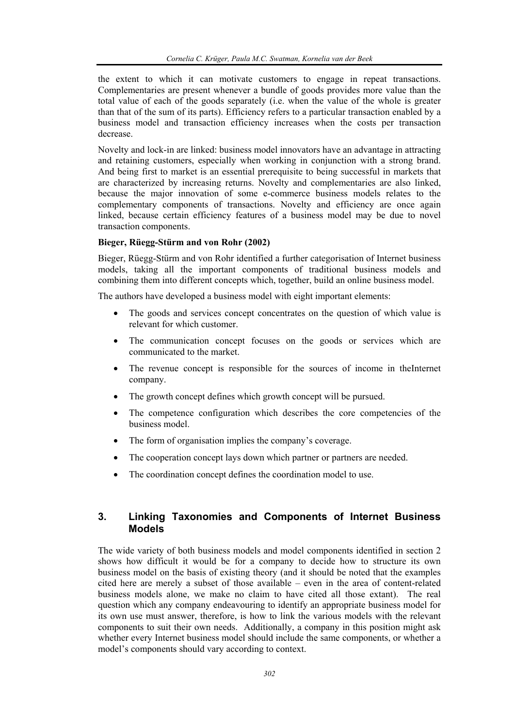the extent to which it can motivate customers to engage in repeat transactions. Complementaries are present whenever a bundle of goods provides more value than the total value of each of the goods separately (i.e. when the value of the whole is greater than that of the sum of its parts). Efficiency refers to a particular transaction enabled by a business model and transaction efficiency increases when the costs per transaction decrease.

Novelty and lock-in are linked: business model innovators have an advantage in attracting and retaining customers, especially when working in conjunction with a strong brand. And being first to market is an essential prerequisite to being successful in markets that are characterized by increasing returns. Novelty and complementaries are also linked, because the major innovation of some e-commerce business models relates to the complementary components of transactions. Novelty and efficiency are once again linked, because certain efficiency features of a business model may be due to novel transaction components.

#### **Bieger, Rüegg-Stürm and von Rohr (2002)**

Bieger, Rüegg-Stürm and von Rohr identified a further categorisation of Internet business models, taking all the important components of traditional business models and combining them into different concepts which, together, build an online business model.

The authors have developed a business model with eight important elements:

- The goods and services concept concentrates on the question of which value is relevant for which customer.
- The communication concept focuses on the goods or services which are communicated to the market.
- The revenue concept is responsible for the sources of income in the Internet company.
- The growth concept defines which growth concept will be pursued.
- The competence configuration which describes the core competencies of the business model.
- The form of organisation implies the company's coverage.
- The cooperation concept lays down which partner or partners are needed.
- The coordination concept defines the coordination model to use.

# **3. Linking Taxonomies and Components of Internet Business Models**

The wide variety of both business models and model components identified in section 2 shows how difficult it would be for a company to decide how to structure its own business model on the basis of existing theory (and it should be noted that the examples cited here are merely a subset of those available – even in the area of content-related business models alone, we make no claim to have cited all those extant). The real question which any company endeavouring to identify an appropriate business model for its own use must answer, therefore, is how to link the various models with the relevant components to suit their own needs. Additionally, a company in this position might ask whether every Internet business model should include the same components, or whether a model's components should vary according to context.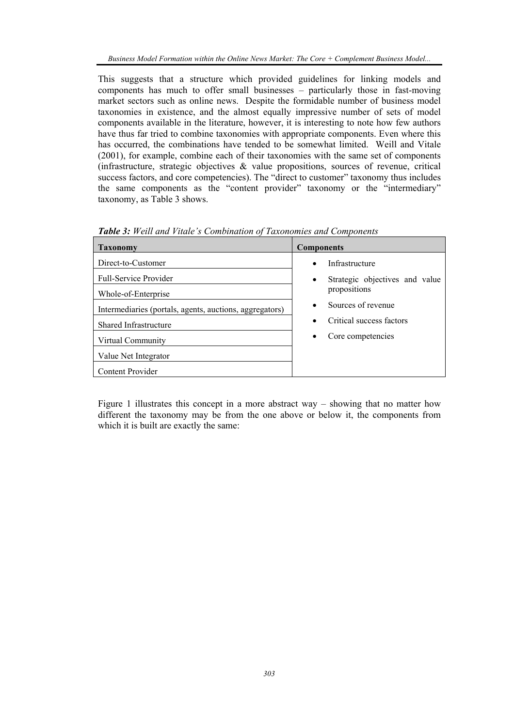This suggests that a structure which provided guidelines for linking models and components has much to offer small businesses – particularly those in fast-moving market sectors such as online news. Despite the formidable number of business model taxonomies in existence, and the almost equally impressive number of sets of model components available in the literature, however, it is interesting to note how few authors have thus far tried to combine taxonomies with appropriate components. Even where this has occurred, the combinations have tended to be somewhat limited. Weill and Vitale (2001), for example, combine each of their taxonomies with the same set of components (infrastructure, strategic objectives & value propositions, sources of revenue, critical success factors, and core competencies). The "direct to customer" taxonomy thus includes the same components as the "content provider" taxonomy or the "intermediary" taxonomy, as Table 3 shows.

| <b>Taxonomy</b>                                         | <b>Components</b>                           |
|---------------------------------------------------------|---------------------------------------------|
| Direct-to-Customer                                      | Infrastructure<br>$\bullet$                 |
| <b>Full-Service Provider</b>                            | Strategic objectives and value<br>$\bullet$ |
| Whole-of-Enterprise                                     | propositions                                |
| Intermediaries (portals, agents, auctions, aggregators) | Sources of revenue<br>$\bullet$             |
| <b>Shared Infrastructure</b>                            | Critical success factors<br>$\bullet$       |
| Virtual Community                                       | Core competencies<br>$\bullet$              |
| Value Net Integrator                                    |                                             |
| <b>Content Provider</b>                                 |                                             |

*Table 3: Weill and Vitale's Combination of Taxonomies and Components* 

Figure 1 illustrates this concept in a more abstract way – showing that no matter how different the taxonomy may be from the one above or below it, the components from which it is built are exactly the same: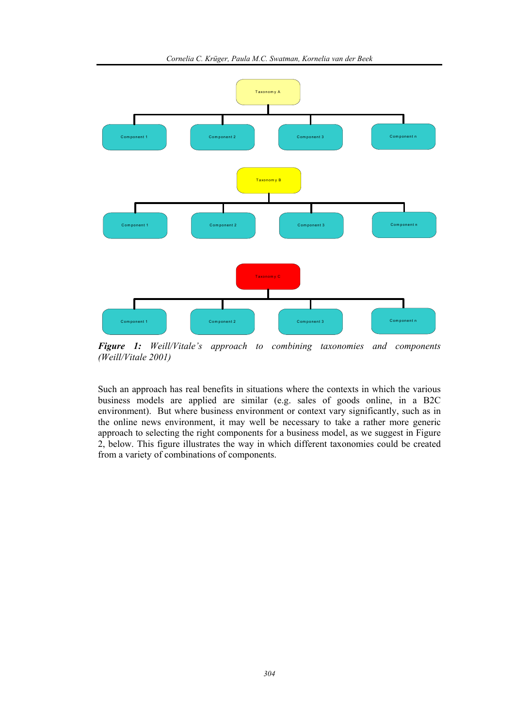

*Figure 1: Weill/Vitale's approach to combining taxonomies and components (Weill/Vitale 2001)* 

Such an approach has real benefits in situations where the contexts in which the various business models are applied are similar (e.g. sales of goods online, in a B2C environment). But where business environment or context vary significantly, such as in the online news environment, it may well be necessary to take a rather more generic approach to selecting the right components for a business model, as we suggest in Figure 2, below. This figure illustrates the way in which different taxonomies could be created from a variety of combinations of components.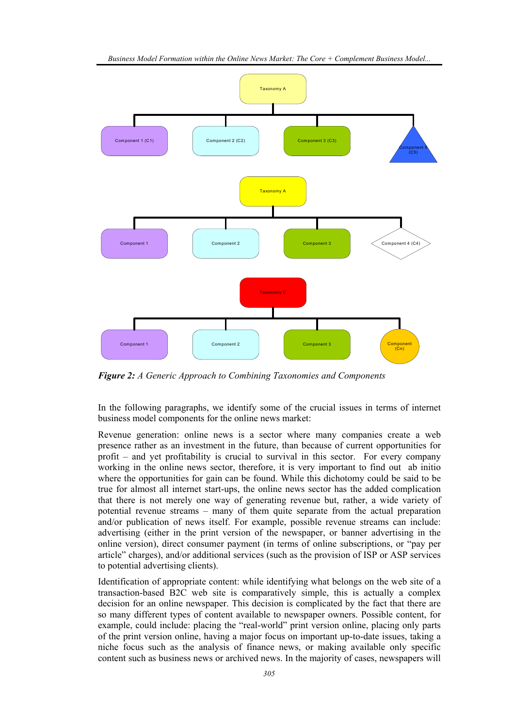

*Figure 2: A Generic Approach to Combining Taxonomies and Components* 

In the following paragraphs, we identify some of the crucial issues in terms of internet business model components for the online news market:

Revenue generation: online news is a sector where many companies create a web presence rather as an investment in the future, than because of current opportunities for profit – and yet profitability is crucial to survival in this sector. For every company working in the online news sector, therefore, it is very important to find out ab initio where the opportunities for gain can be found. While this dichotomy could be said to be true for almost all internet start-ups, the online news sector has the added complication that there is not merely one way of generating revenue but, rather, a wide variety of potential revenue streams – many of them quite separate from the actual preparation and/or publication of news itself. For example, possible revenue streams can include: advertising (either in the print version of the newspaper, or banner advertising in the online version), direct consumer payment (in terms of online subscriptions, or "pay per article" charges), and/or additional services (such as the provision of ISP or ASP services to potential advertising clients).

Identification of appropriate content: while identifying what belongs on the web site of a transaction-based B2C web site is comparatively simple, this is actually a complex decision for an online newspaper. This decision is complicated by the fact that there are so many different types of content available to newspaper owners. Possible content, for example, could include: placing the "real-world" print version online, placing only parts of the print version online, having a major focus on important up-to-date issues, taking a niche focus such as the analysis of finance news, or making available only specific content such as business news or archived news. In the majority of cases, newspapers will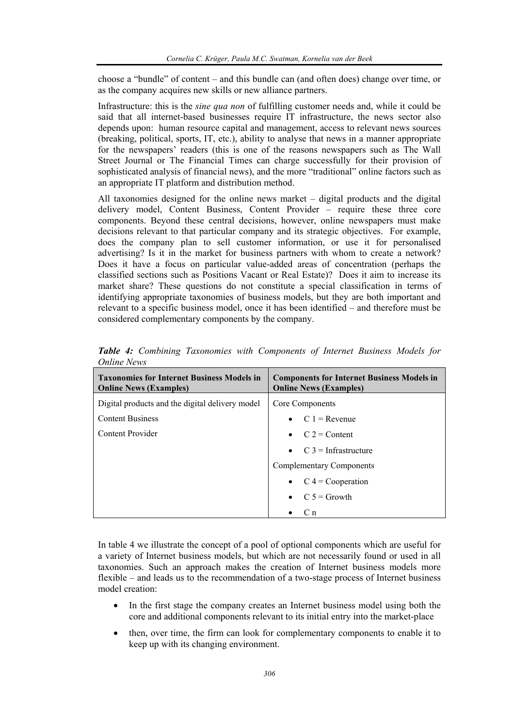choose a "bundle" of content – and this bundle can (and often does) change over time, or as the company acquires new skills or new alliance partners.

Infrastructure: this is the *sine qua non* of fulfilling customer needs and, while it could be said that all internet-based businesses require IT infrastructure, the news sector also depends upon: human resource capital and management, access to relevant news sources (breaking, political, sports, IT, etc.), ability to analyse that news in a manner appropriate for the newspapers' readers (this is one of the reasons newspapers such as The Wall Street Journal or The Financial Times can charge successfully for their provision of sophisticated analysis of financial news), and the more "traditional" online factors such as an appropriate IT platform and distribution method.

All taxonomies designed for the online news market – digital products and the digital delivery model, Content Business, Content Provider – require these three core components. Beyond these central decisions, however, online newspapers must make decisions relevant to that particular company and its strategic objectives. For example, does the company plan to sell customer information, or use it for personalised advertising? Is it in the market for business partners with whom to create a network? Does it have a focus on particular value-added areas of concentration (perhaps the classified sections such as Positions Vacant or Real Estate)? Does it aim to increase its market share? These questions do not constitute a special classification in terms of identifying appropriate taxonomies of business models, but they are both important and relevant to a specific business model, once it has been identified – and therefore must be considered complementary components by the company.

| <b>Taxonomies for Internet Business Models in</b><br><b>Online News (Examples)</b> | <b>Components for Internet Business Models in</b><br><b>Online News (Examples)</b> |
|------------------------------------------------------------------------------------|------------------------------------------------------------------------------------|
| Digital products and the digital delivery model                                    | Core Components                                                                    |
| <b>Content Business</b>                                                            | $C_1$ = Revenue                                                                    |
| Content Provider                                                                   | $C_2 =$ Content                                                                    |
|                                                                                    | $C_3$ = Infrastructure                                                             |
|                                                                                    | <b>Complementary Components</b>                                                    |
|                                                                                    | $C = Cooperation$<br>$\bullet$                                                     |
|                                                                                    | $C_2 =$ Growth                                                                     |
|                                                                                    | C <sub>n</sub>                                                                     |

*Table 4: Combining Taxonomies with Components of Internet Business Models for Online News* 

In table 4 we illustrate the concept of a pool of optional components which are useful for a variety of Internet business models, but which are not necessarily found or used in all taxonomies. Such an approach makes the creation of Internet business models more flexible – and leads us to the recommendation of a two-stage process of Internet business model creation:

- In the first stage the company creates an Internet business model using both the core and additional components relevant to its initial entry into the market-place
- then, over time, the firm can look for complementary components to enable it to keep up with its changing environment.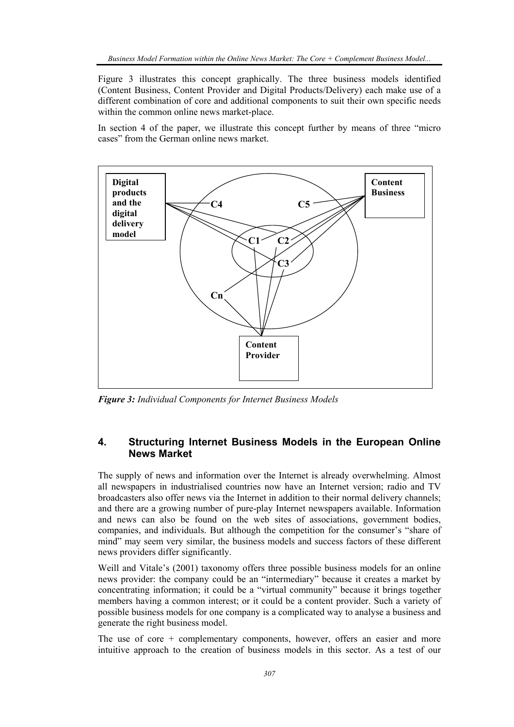Figure 3 illustrates this concept graphically. The three business models identified (Content Business, Content Provider and Digital Products/Delivery) each make use of a different combination of core and additional components to suit their own specific needs within the common online news market-place.

In section 4 of the paper, we illustrate this concept further by means of three "micro cases" from the German online news market.



*Figure 3: Individual Components for Internet Business Models* 

# **4. Structuring Internet Business Models in the European Online News Market**

The supply of news and information over the Internet is already overwhelming. Almost all newspapers in industrialised countries now have an Internet version; radio and TV broadcasters also offer news via the Internet in addition to their normal delivery channels; and there are a growing number of pure-play Internet newspapers available. Information and news can also be found on the web sites of associations, government bodies, companies, and individuals. But although the competition for the consumer's "share of mind" may seem very similar, the business models and success factors of these different news providers differ significantly.

Weill and Vitale's (2001) taxonomy offers three possible business models for an online news provider: the company could be an "intermediary" because it creates a market by concentrating information; it could be a "virtual community" because it brings together members having a common interest; or it could be a content provider. Such a variety of possible business models for one company is a complicated way to analyse a business and generate the right business model.

The use of core + complementary components, however, offers an easier and more intuitive approach to the creation of business models in this sector. As a test of our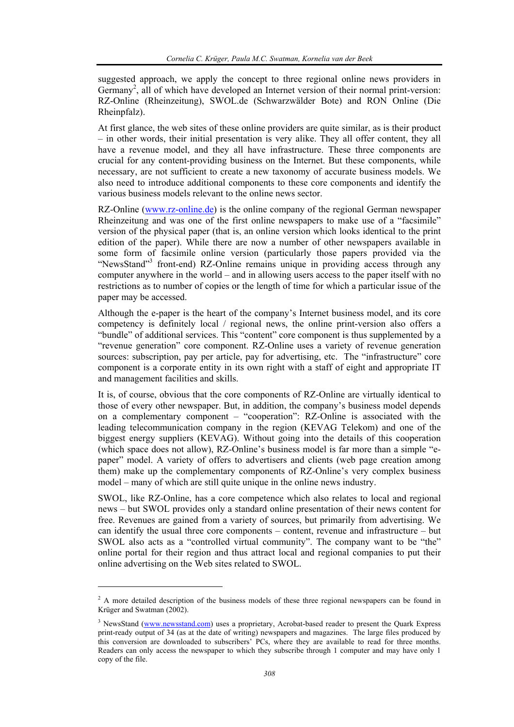suggested approach, we apply the concept to three regional online news providers in Germany<sup>2</sup>, all of which have developed an Internet version of their normal print-version: RZ-Online (Rheinzeitung), SWOL.de (Schwarzwälder Bote) and RON Online (Die Rheinpfalz).

At first glance, the web sites of these online providers are quite similar, as is their product – in other words, their initial presentation is very alike. They all offer content, they all have a revenue model, and they all have infrastructure. These three components are crucial for any content-providing business on the Internet. But these components, while necessary, are not sufficient to create a new taxonomy of accurate business models. We also need to introduce additional components to these core components and identify the various business models relevant to the online news sector.

RZ-Online (www.rz-online.de) is the online company of the regional German newspaper Rheinzeitung and was one of the first online newspapers to make use of a "facsimile" version of the physical paper (that is, an online version which looks identical to the print edition of the paper). While there are now a number of other newspapers available in some form of facsimile online version (particularly those papers provided via the "NewsStand"<sup>3</sup> front-end) RZ-Online remains unique in providing access through any computer anywhere in the world – and in allowing users access to the paper itself with no restrictions as to number of copies or the length of time for which a particular issue of the paper may be accessed.

Although the e-paper is the heart of the company's Internet business model, and its core competency is definitely local / regional news, the online print-version also offers a "bundle" of additional services. This "content" core component is thus supplemented by a "revenue generation" core component. RZ-Online uses a variety of revenue generation sources: subscription, pay per article, pay for advertising, etc. The "infrastructure" core component is a corporate entity in its own right with a staff of eight and appropriate IT and management facilities and skills.

It is, of course, obvious that the core components of RZ-Online are virtually identical to those of every other newspaper. But, in addition, the company's business model depends on a complementary component – "cooperation": RZ-Online is associated with the leading telecommunication company in the region (KEVAG Telekom) and one of the biggest energy suppliers (KEVAG). Without going into the details of this cooperation (which space does not allow), RZ-Online's business model is far more than a simple "epaper" model. A variety of offers to advertisers and clients (web page creation among them) make up the complementary components of RZ-Online's very complex business model – many of which are still quite unique in the online news industry.

SWOL, like RZ-Online, has a core competence which also relates to local and regional news – but SWOL provides only a standard online presentation of their news content for free. Revenues are gained from a variety of sources, but primarily from advertising. We can identify the usual three core components – content, revenue and infrastructure – but SWOL also acts as a "controlled virtual community". The company want to be "the" online portal for their region and thus attract local and regional companies to put their online advertising on the Web sites related to SWOL.

l

 $2^2$  A more detailed description of the business models of these three regional newspapers can be found in Krüger and Swatman (2002).

<sup>&</sup>lt;sup>3</sup> NewsStand (www.newsstand.com) uses a proprietary, Acrobat-based reader to present the Quark Express print-ready output of 34 (as at the date of writing) newspapers and magazines. The large files produced by this conversion are downloaded to subscribers' PCs, where they are available to read for three months. Readers can only access the newspaper to which they subscribe through 1 computer and may have only 1 copy of the file.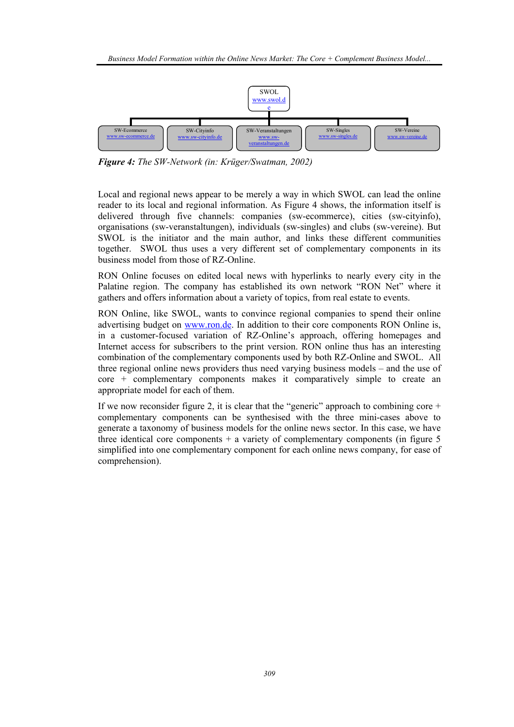

*Figure 4: The SW-Network (in: Krüger/Swatman, 2002)* 

Local and regional news appear to be merely a way in which SWOL can lead the online reader to its local and regional information. As Figure 4 shows, the information itself is delivered through five channels: companies (sw-ecommerce), cities (sw-cityinfo), organisations (sw-veranstaltungen), individuals (sw-singles) and clubs (sw-vereine). But SWOL is the initiator and the main author, and links these different communities together. SWOL thus uses a very different set of complementary components in its business model from those of RZ-Online.

RON Online focuses on edited local news with hyperlinks to nearly every city in the Palatine region. The company has established its own network "RON Net" where it gathers and offers information about a variety of topics, from real estate to events.

RON Online, like SWOL, wants to convince regional companies to spend their online advertising budget on www.ron.de. In addition to their core components RON Online is, in a customer-focused variation of RZ-Online's approach, offering homepages and Internet access for subscribers to the print version. RON online thus has an interesting combination of the complementary components used by both RZ-Online and SWOL. All three regional online news providers thus need varying business models – and the use of core + complementary components makes it comparatively simple to create an appropriate model for each of them.

If we now reconsider figure 2, it is clear that the "generic" approach to combining core  $+$ complementary components can be synthesised with the three mini-cases above to generate a taxonomy of business models for the online news sector. In this case, we have three identical core components  $+$  a variety of complementary components (in figure 5) simplified into one complementary component for each online news company, for ease of comprehension).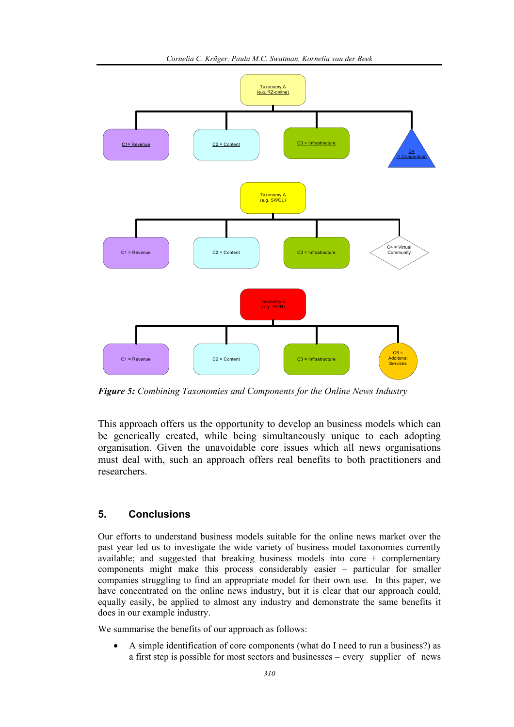

*Figure 5: Combining Taxonomies and Components for the Online News Industry* 

This approach offers us the opportunity to develop an business models which can be generically created, while being simultaneously unique to each adopting organisation. Given the unavoidable core issues which all news organisations must deal with, such an approach offers real benefits to both practitioners and researchers.

# **5. Conclusions**

Our efforts to understand business models suitable for the online news market over the past year led us to investigate the wide variety of business model taxonomies currently available; and suggested that breaking business models into core + complementary components might make this process considerably easier – particular for smaller companies struggling to find an appropriate model for their own use. In this paper, we have concentrated on the online news industry, but it is clear that our approach could, equally easily, be applied to almost any industry and demonstrate the same benefits it does in our example industry.

We summarise the benefits of our approach as follows:

• A simple identification of core components (what do I need to run a business?) as a first step is possible for most sectors and businesses – every supplier of news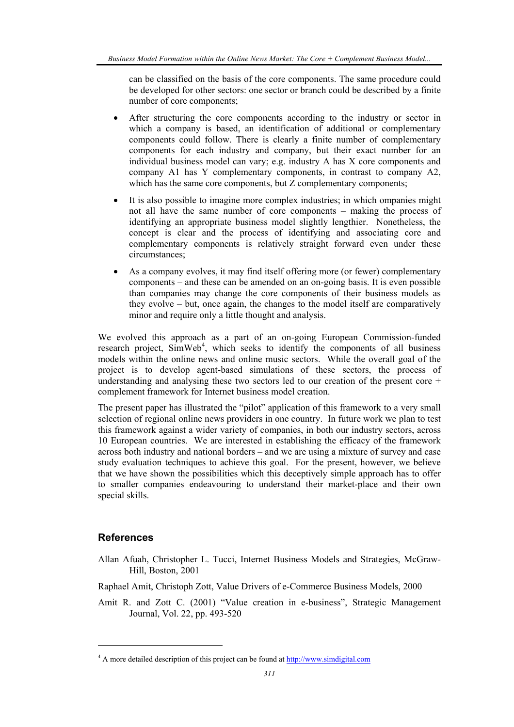can be classified on the basis of the core components. The same procedure could be developed for other sectors: one sector or branch could be described by a finite number of core components;

- After structuring the core components according to the industry or sector in which a company is based, an identification of additional or complementary components could follow. There is clearly a finite number of complementary components for each industry and company, but their exact number for an individual business model can vary; e.g. industry A has X core components and company A1 has Y complementary components, in contrast to company A2, which has the same core components, but Z complementary components;
- It is also possible to imagine more complex industries; in which ompanies might not all have the same number of core components – making the process of identifying an appropriate business model slightly lengthier. Nonetheless, the concept is clear and the process of identifying and associating core and complementary components is relatively straight forward even under these circumstances;
- As a company evolves, it may find itself offering more (or fewer) complementary components – and these can be amended on an on-going basis. It is even possible than companies may change the core components of their business models as they evolve – but, once again, the changes to the model itself are comparatively minor and require only a little thought and analysis.

We evolved this approach as a part of an on-going European Commission-funded research project, SimWeb<sup>4</sup>, which seeks to identify the components of all business models within the online news and online music sectors. While the overall goal of the project is to develop agent-based simulations of these sectors, the process of understanding and analysing these two sectors led to our creation of the present core  $+$ complement framework for Internet business model creation.

The present paper has illustrated the "pilot" application of this framework to a very small selection of regional online news providers in one country. In future work we plan to test this framework against a wider variety of companies, in both our industry sectors, across 10 European countries. We are interested in establishing the efficacy of the framework across both industry and national borders – and we are using a mixture of survey and case study evaluation techniques to achieve this goal. For the present, however, we believe that we have shown the possibilities which this deceptively simple approach has to offer to smaller companies endeavouring to understand their market-place and their own special skills.

# **References**

l

- Allan Afuah, Christopher L. Tucci, Internet Business Models and Strategies, McGraw-Hill, Boston, 2001
- Raphael Amit, Christoph Zott, Value Drivers of e-Commerce Business Models, 2000
- Amit R. and Zott C. (2001) "Value creation in e-business", Strategic Management Journal, Vol. 22, pp. 493-520

<sup>&</sup>lt;sup>4</sup> A more detailed description of this project can be found at http://www.simdigital.com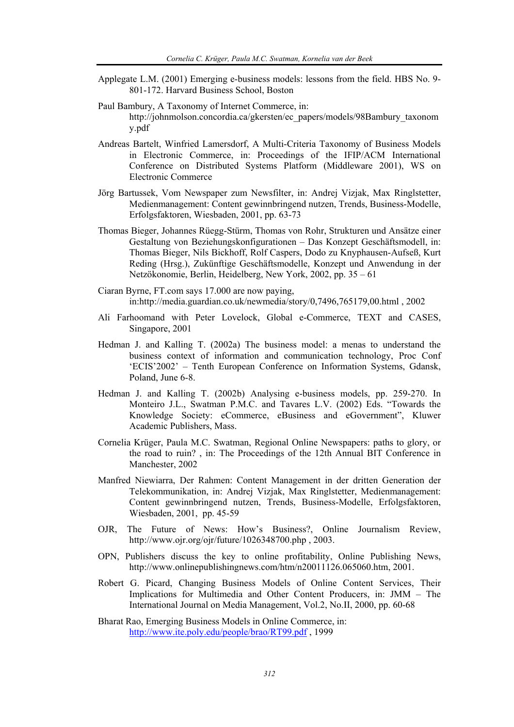- Applegate L.M. (2001) Emerging e-business models: lessons from the field. HBS No. 9- 801-172. Harvard Business School, Boston
- Paul Bambury, A Taxonomy of Internet Commerce, in: http://johnmolson.concordia.ca/gkersten/ec\_papers/models/98Bambury\_taxonom y.pdf
- Andreas Bartelt, Winfried Lamersdorf, A Multi-Criteria Taxonomy of Business Models in Electronic Commerce, in: Proceedings of the IFIP/ACM International Conference on Distributed Systems Platform (Middleware 2001), WS on Electronic Commerce
- Jörg Bartussek, Vom Newspaper zum Newsfilter, in: Andrej Vizjak, Max Ringlstetter, Medienmanagement: Content gewinnbringend nutzen, Trends, Business-Modelle, Erfolgsfaktoren, Wiesbaden, 2001, pp. 63-73
- Thomas Bieger, Johannes Rüegg-Stürm, Thomas von Rohr, Strukturen und Ansätze einer Gestaltung von Beziehungskonfigurationen – Das Konzept Geschäftsmodell, in: Thomas Bieger, Nils Bickhoff, Rolf Caspers, Dodo zu Knyphausen-Aufseß, Kurt Reding (Hrsg.), Zukünftige Geschäftsmodelle, Konzept und Anwendung in der Netzökonomie, Berlin, Heidelberg, New York, 2002, pp. 35 – 61
- Ciaran Byrne, FT.com says 17.000 are now paying, in:http://media.guardian.co.uk/newmedia/story/0,7496,765179,00.html , 2002
- Ali Farhoomand with Peter Lovelock, Global e-Commerce, TEXT and CASES, Singapore, 2001
- Hedman J. and Kalling T. (2002a) The business model: a menas to understand the business context of information and communication technology, Proc Conf 'ECIS'2002' – Tenth European Conference on Information Systems, Gdansk, Poland, June 6-8.
- Hedman J. and Kalling T. (2002b) Analysing e-business models, pp. 259-270. In Monteiro J.L., Swatman P.M.C. and Tavares L.V. (2002) Eds. "Towards the Knowledge Society: eCommerce, eBusiness and eGovernment", Kluwer Academic Publishers, Mass.
- Cornelia Krüger, Paula M.C. Swatman, Regional Online Newspapers: paths to glory, or the road to ruin? , in: The Proceedings of the 12th Annual BIT Conference in Manchester, 2002
- Manfred Niewiarra, Der Rahmen: Content Management in der dritten Generation der Telekommunikation, in: Andrej Vizjak, Max Ringlstetter, Medienmanagement: Content gewinnbringend nutzen, Trends, Business-Modelle, Erfolgsfaktoren, Wiesbaden, 2001, pp. 45-59
- OJR, The Future of News: How's Business?, Online Journalism Review, http://www.ojr.org/ojr/future/1026348700.php , 2003.
- OPN, Publishers discuss the key to online profitability, Online Publishing News, http://www.onlinepublishingnews.com/htm/n20011126.065060.htm, 2001.
- Robert G. Picard, Changing Business Models of Online Content Services, Their Implications for Multimedia and Other Content Producers, in: JMM – The International Journal on Media Management, Vol.2, No.II, 2000, pp. 60-68
- Bharat Rao, Emerging Business Models in Online Commerce, in: http://www.ite.poly.edu/people/brao/RT99.pdf , 1999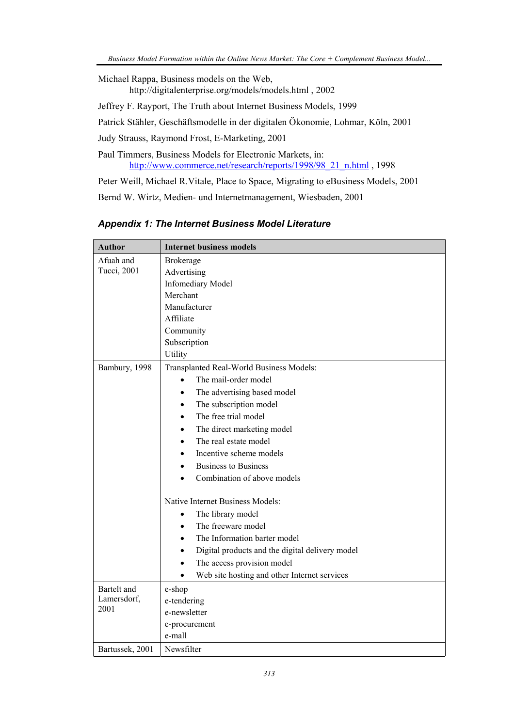Michael Rappa, Business models on the Web, http://digitalenterprise.org/models/models.html , 2002 Jeffrey F. Rayport, The Truth about Internet Business Models, 1999 Patrick Stähler, Geschäftsmodelle in der digitalen Ökonomie, Lohmar, Köln, 2001 Judy Strauss, Raymond Frost, E-Marketing, 2001

Paul Timmers, Business Models for Electronic Markets, in: http://www.commerce.net/research/reports/1998/98\_21\_n.html , 1998

Peter Weill, Michael R.Vitale, Place to Space, Migrating to eBusiness Models, 2001 Bernd W. Wirtz, Medien- und Internetmanagement, Wiesbaden, 2001

| <b>Author</b>                      | <b>Internet business models</b>                                                                                                                                                                                                                                                                                                                                                                                                                                                                                                                                                                                                                                                                                         |
|------------------------------------|-------------------------------------------------------------------------------------------------------------------------------------------------------------------------------------------------------------------------------------------------------------------------------------------------------------------------------------------------------------------------------------------------------------------------------------------------------------------------------------------------------------------------------------------------------------------------------------------------------------------------------------------------------------------------------------------------------------------------|
| Afuah and<br>Tucci, 2001           | Brokerage<br>Advertising<br><b>Infomediary Model</b><br>Merchant<br>Manufacturer<br>Affiliate<br>Community<br>Subscription<br>Utility                                                                                                                                                                                                                                                                                                                                                                                                                                                                                                                                                                                   |
| Bambury, 1998                      | Transplanted Real-World Business Models:<br>The mail-order model<br>$\bullet$<br>The advertising based model<br>$\bullet$<br>The subscription model<br>٠<br>The free trial model<br>$\bullet$<br>The direct marketing model<br>$\bullet$<br>The real estate model<br>$\bullet$<br>Incentive scheme models<br>٠<br><b>Business to Business</b><br>$\bullet$<br>Combination of above models<br>Native Internet Business Models:<br>The library model<br>$\bullet$<br>The freeware model<br>$\bullet$<br>The Information barter model<br>$\bullet$<br>Digital products and the digital delivery model<br>$\bullet$<br>The access provision model<br>$\bullet$<br>Web site hosting and other Internet services<br>$\bullet$ |
| Bartelt and<br>Lamersdorf,<br>2001 | e-shop<br>e-tendering<br>e-newsletter<br>e-procurement<br>e-mall                                                                                                                                                                                                                                                                                                                                                                                                                                                                                                                                                                                                                                                        |
| Bartussek, 2001                    | Newsfilter                                                                                                                                                                                                                                                                                                                                                                                                                                                                                                                                                                                                                                                                                                              |

*Appendix 1: The Internet Business Model Literature*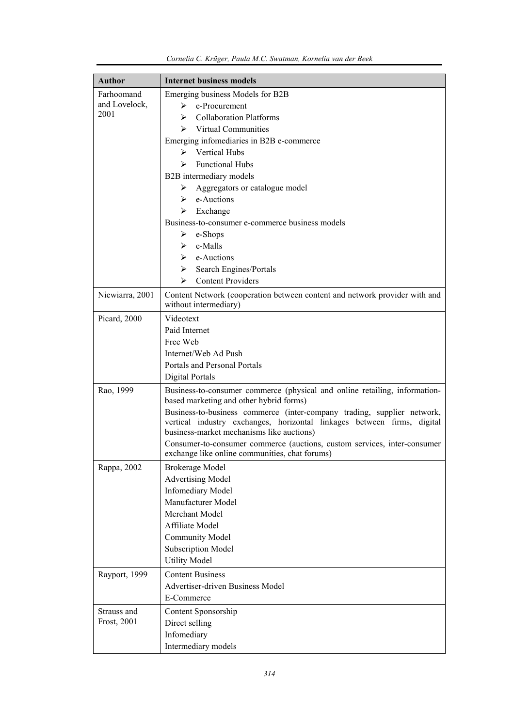| <b>Author</b>   | <b>Internet business models</b>                                                                                                                                                                 |
|-----------------|-------------------------------------------------------------------------------------------------------------------------------------------------------------------------------------------------|
| Farhoomand      | Emerging business Models for B2B                                                                                                                                                                |
| and Lovelock,   | e-Procurement<br>≻                                                                                                                                                                              |
| 2001            | <b>Collaboration Platforms</b><br>⋗                                                                                                                                                             |
|                 | $\triangleright$ Virtual Communities                                                                                                                                                            |
|                 | Emerging infomediaries in B2B e-commerce                                                                                                                                                        |
|                 | $\triangleright$ Vertical Hubs                                                                                                                                                                  |
|                 | <b>Functional Hubs</b><br>≻                                                                                                                                                                     |
|                 | B2B intermediary models                                                                                                                                                                         |
|                 | Aggregators or catalogue model<br>➤                                                                                                                                                             |
|                 | $\triangleright$ e-Auctions                                                                                                                                                                     |
|                 | Exchange<br>≻                                                                                                                                                                                   |
|                 | Business-to-consumer e-commerce business models                                                                                                                                                 |
|                 | $\triangleright$ e-Shops                                                                                                                                                                        |
|                 | $\triangleright$ e-Malls                                                                                                                                                                        |
|                 | e-Auctions<br>≻                                                                                                                                                                                 |
|                 | Search Engines/Portals<br>➤                                                                                                                                                                     |
|                 | <b>Content Providers</b><br>⋗                                                                                                                                                                   |
| Niewiarra, 2001 | Content Network (cooperation between content and network provider with and                                                                                                                      |
|                 | without intermediary)                                                                                                                                                                           |
| Picard, 2000    | Videotext                                                                                                                                                                                       |
|                 | Paid Internet                                                                                                                                                                                   |
|                 | Free Web                                                                                                                                                                                        |
|                 | Internet/Web Ad Push                                                                                                                                                                            |
|                 | Portals and Personal Portals                                                                                                                                                                    |
|                 | Digital Portals                                                                                                                                                                                 |
| Rao, 1999       | Business-to-consumer commerce (physical and online retailing, information-<br>based marketing and other hybrid forms)                                                                           |
|                 | Business-to-business commerce (inter-company trading, supplier network,<br>vertical industry exchanges, horizontal linkages between firms, digital<br>business-market mechanisms like auctions) |
|                 | Consumer-to-consumer commerce (auctions, custom services, inter-consumer<br>exchange like online communities, chat forums)                                                                      |
| Rappa, 2002     | Brokerage Model                                                                                                                                                                                 |
|                 | <b>Advertising Model</b>                                                                                                                                                                        |
|                 | <b>Infomediary Model</b>                                                                                                                                                                        |
|                 | Manufacturer Model                                                                                                                                                                              |
|                 | Merchant Model                                                                                                                                                                                  |
|                 | Affiliate Model                                                                                                                                                                                 |
|                 | <b>Community Model</b>                                                                                                                                                                          |
|                 | <b>Subscription Model</b>                                                                                                                                                                       |
|                 | <b>Utility Model</b>                                                                                                                                                                            |
| Rayport, 1999   | <b>Content Business</b>                                                                                                                                                                         |
|                 | Advertiser-driven Business Model                                                                                                                                                                |
|                 | E-Commerce                                                                                                                                                                                      |
| Strauss and     | Content Sponsorship                                                                                                                                                                             |
| Frost, 2001     | Direct selling                                                                                                                                                                                  |
|                 | Infomediary                                                                                                                                                                                     |
|                 | Intermediary models                                                                                                                                                                             |

| Cornelia C. Krüger, Paula M.C. Swatman, Kornelia van der Beek |  |
|---------------------------------------------------------------|--|
|---------------------------------------------------------------|--|